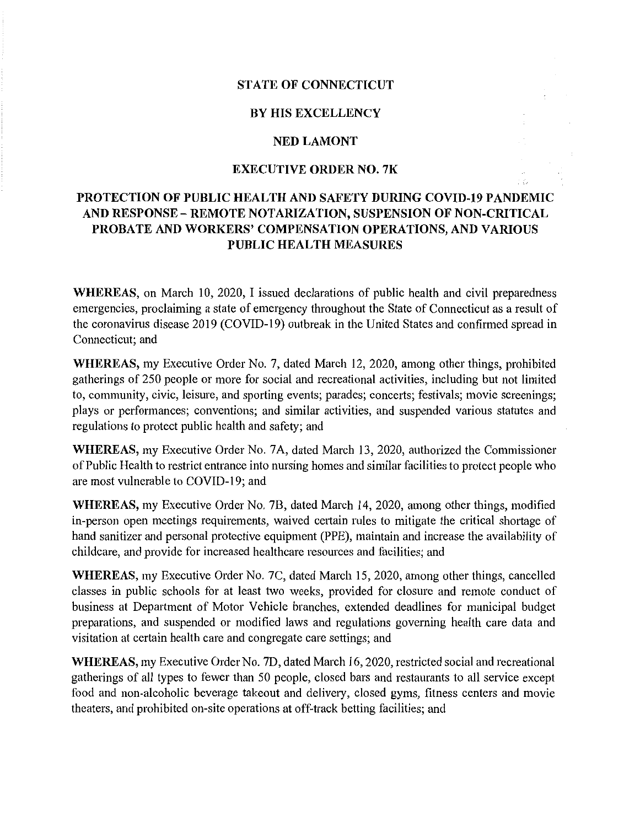## **STATE OF CONNECTICUT**

#### **BY HIS EXCELLENCY**

## **NED LAMONT**

## **EXECUTIVE ORDER NO. 7K**

# **PROTECTION OF PUBLIC HEALTH AND SAFETY DURING COVID-19 PANDEMIC AND RESPONSE- REMOTE NOTARIZATION, SUSPENSION OF NON-CRITICAL PROBATE AND WORKERS' COMPENSATION OPERATIONS, AND VARIOUS PUBLIC HEALTH MEASURES**

**WHEREAS,** on March 10, 2020, I issued declarations of public health and civil preparedness emergencies, proclaiming a state of emergency throughout the State of Connecticut as a result of the coronavirus disease 2019 (COVID-19) outbreak in the United States and confirmed spread in Connecticut; and

**WHEREAS,** my Executive Order No. 7, dated March 12, 2020, among other things, prohibited gatherings of 250 people or more for social and recreational activities, including but not limited to, community, civic, leisure, and sporting events; parades; concerts; festivals; movie screenings; plays or performances; conventions; and similar activities, and suspended various statutes and regulations to protect public health and safety; and

**WHEREAS,** my Executive Order No. 7 A, dated March 13, 2020, authorized the Commissioner of Public Health to restrict entrance into nursing homes and similar facilities to protect people who are most vulnerable to COVID-19; and

**WHEREAS,** my Executive Order No. 78, dated March 14, 2020, among other things, modified in-person open meetings requirements, waived certain rules to mitigate the critical shortage of hand sanitizer and personal protective equipment (PPE), maintain and increase the availability of childcare, and provide for increased healthcare resources and facilities; and

**WHEREAS,** my Executive Order No. 7C, dated March 15, 2020, among other things, cancelled classes in public schools for at least two weeks, provided for closure and remote conduct of business at Department of Motor Vehicle branches, extended deadlines for municipal budget preparations, and suspended or modified laws and regulations governing health care data and visitation at certain health care and congregate care settings; and

**WHEREAS,** my Executive Order No. 7D, dated March 16, 2020, restricted social and recreational gatherings of all types to fewer than 50 people, closed bars and restaurants to all service except food and non-alcoholic beverage takeout and delivery, closed gyms, fitness centers and movie theaters, and prohibited on-site operations at off-track betting facilities; and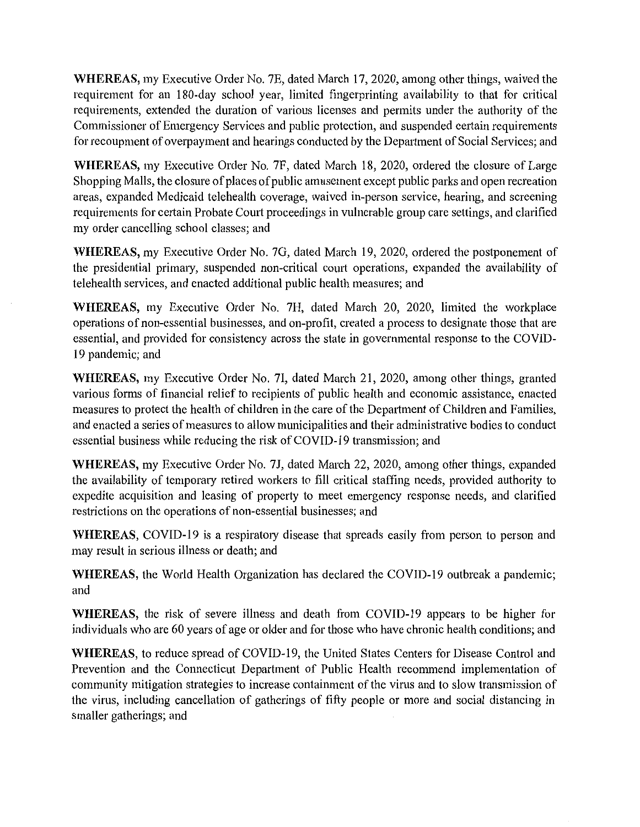**WHEREAS,** my Executive Order No. 7E, dated March 17, 2020, among other things, waived the requirement for an 180-day school year, limited fingerprinting availability to that for critical requirements, extended the duration of various licenses and permits under the authority of the Commissioner of Emergency Services and public protection, and suspended certain requirements for recoupment of overpayment and hearings conducted by the Depatiment of Social Services; and

**WHEREAS,** my Executive Order No. 7F, dated March 18, 2020, ordered the closure of Large Shopping Malls, the closure of places of public amusement except public parks and open recreation areas, expanded Medicaid telehealth coverage, waived in-person service, hearing, and screening requirements for certain Probate Court proceedings in vulnerable group care settings, and clarified my order cancelling school classes; and

**WHEREAS,** my Executive Order No. 7G, dated March 19, 2020, ordered the postponement of the presidential primary, suspended non-critical court operations, expanded the availability of telehealth services, and enacted additional public health measures; and

**WHEREAS,** my Executive Order No. 7H, dated March 20, 2020, limited the workplace operations of non-essential businesses, and on-profit, created a process to designate those that are essential, and provided for consistency across the state in governmental response to the COVID-19 pandemic; and

**WHEREAS,** my Executive Order No. 71, dated March 21, 2020, among other things, granted various forms of financial relief to recipients of public health and economic assistance, enacted measures to protect the health of children in the care of the Department of Children and Families, and enacted a series of measures to allow municipalities and their administrative bodies to conduct essential business while reducing the risk of COVID-19 transmission; and

**WHEREAS,** my Executive Order No. 7J, dated March 22, 2020, among other things, expanded the availability of temporary retired workers to fill critical staffing needs, provided authority to expedite acquisition and leasing of property to meet emergency response needs, and clarified restrictions on the operations of non-essential businesses; and

**WHEREAS,** COVID-19 is a respiratory disease that spreads easily from person to person and may result in serious illness or death; and

**WHEREAS,** the World Health Organization has declared the COVID-19 outbreak a pandemic; and

**WHEREAS,** the risk of severe illness and death from COVID-19 appears to be higher for individuals who are 60 years of age or older and for those who have chronic health conditions; and

**WHEREAS,** to reduce spread of COVID-19, the United States Centers for Disease Control and Prevention and the Connecticut Department of Public Health recommend implementation of community mitigation strategies to increase containment of the virus and to slow transmission of the virus, including cancellation of gatherings of fifty people or more and social distancing in smaller gatherings; and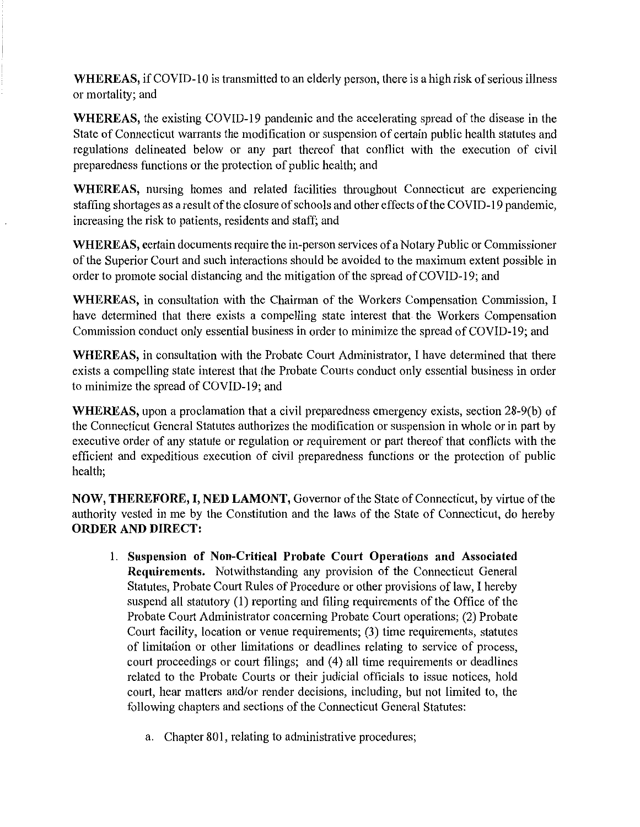**WHEREAS,** if COVID-10 is transmitted to an elderly person, there is a high risk of serious illness or mortality; and

**WHEREAS,** the existing COVID-19 pandemic and the accelerating spread of the disease in the State of Connecticut warrants the modification or suspension of certain public health statutes and regulations delineated below or any part thereof that conflict with the execution of civil preparedness functions or the protection of public health; and

**WHEREAS,** nursing homes and related facilities throughout Connecticut are experiencing staffing shortages as a result of the closure of schools and other effects of the COVID-19 pandemic, increasing the risk to patients, residents and staff; and

**WHEREAS,** certain documents require the in-person services of a Notary Public or Commissioner of the Superior Court and such interactions should be avoided to the maximum extent possible in order to promote social distancing and the mitigation of the spread of COVID-19; and

**WHEREAS,** in consultation with the Chairman of the Workers Compensation Commission, I have determined that there exists a compelling state interest that the Workers Compensation Commission conduct only essential business in order to minimize the spread of COVID-19; and

**WHEREAS,** in consultation with the Probate Court Administrator, I have determined that there exists a compelling state interest that the Probate Comts conduct only essential business in order to minimize the spread of COVID-19; and

**WHEREAS,** upon a proclamation that a civil preparedness emergency exists, section 28-9(b) of the Connecticut General Statutes authorizes the modification or suspension in whole or in part by executive order of any statute or regulation or requirement or part thereof that conflicts with the efficient and expeditious execution of civil preparedness functions or the protection of public health;

**NOW, THEREFORE, I, NED LAMONT,** Governor of the State of Connecticut, by virtue of the authority vested in me by the Constitution and the laws of the State of Connecticut, do hereby **ORDER AND DIRECT:** 

- I. **Suspension of Non-Critical Probate Court Operations and Associated Requirements.** Notwithstanding any provision of the Connecticut General Statutes, Probate Court Rules of Procedure or other provisions of law, I hereby suspend all statutory (I) reporting and filing requirements of the Office of the Probate Court Administrator concerning Probate Court operations; (2) Probate Court facility, location or venue requirements; (3) time requirements, statutes of limitation or other limitations or deadlines relating to service of process, court proceedings or court filings; and (4) all time requirements or deadlines related to the Probate Courts or their judicial officials to issue notices, hold court, hear matters and/or render decisions, including, but not limited to, the following chapters and sections of the Connecticut General Statutes:
	- a. Chapter 801, relating to administrative procedures;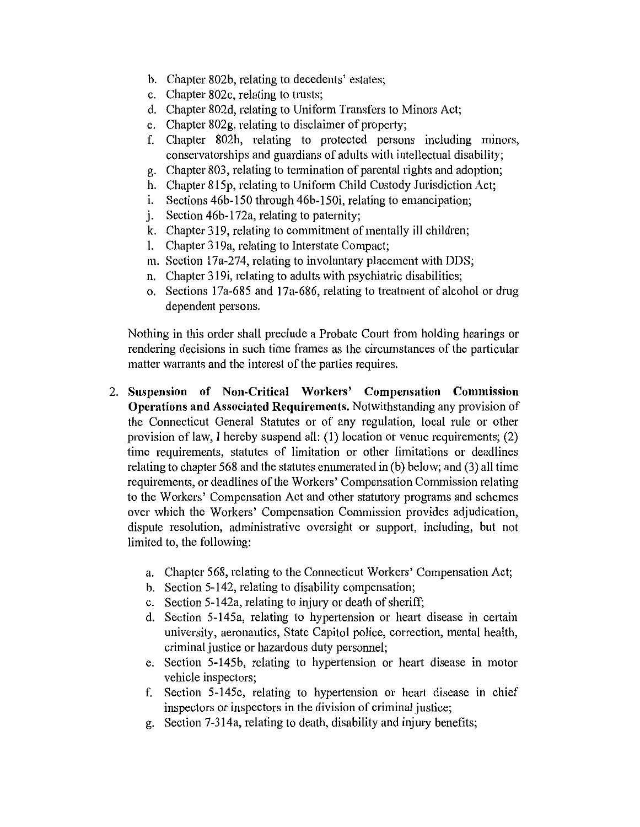- b. Chapter 802b, relating to decedents' estates;
- c. Chapter 802c, relating to trusts;
- d. Chapter 802d, relating to Uniform Transfers to Minors Act;
- e. Chapter  $802g$ , relating to disclaimer of property;
- f. Chapter 802h, relating to protected persons including minors, conservatorships and guardians of adults with intellectual disability;
- g. Chapter 803, relating to termination of parental rights and adoption;
- h. Chapter 815p, relating to Uniform Child Custody Jurisdiction Act;
- $1.$  Sections 46b-150 through 46b-150i, relating to emancipation;
- j. Section 46b-172a, relating to paternity;
- k. Chapter 319, relating to commitment of mentally ill children;
- I. Chapter 319a, relating to Interstate Compact;
- m. Section  $17a-274$ , relating to involuntary placement with DDS;
- n. Chapter 319i, relating to adults with psychiatric disabilities;
- o. Sections 17a-685 and 17a-686, relating to treatment of alcohol or drug dependent persons.

Nothing in this order shall preclude a Probate Comt from holding hearings or rendering decisions in such time frames as the circumstances of the particular matter warrants and the interest of the parties requires.

- 2. **Suspension of Non-Critical Workers' Compensation Commission Operations and Associated Requirements.** Notwithstanding any provision of the Connecticut General Statutes or of any regulation, local rule or other provision of law, I hereby suspend all: (1) location or venue requirements; (2) time requirements, statutes of limitation or other limitations or deadlines relating to chapter 568 and the statutes enumerated in (b) below; and (3) all time requirements, or deadlines of the Workers' Compensation Commission relating to the Workers' Compensation Act and other statutory programs and schemes over which the Workers' Compensation Commission provides adjudication, dispute resolution, administrative oversight or support, including, but not limited to, the following:
	- a. Chapter 568, relating to the Connecticut Workers' Compensation Act;
	- b. Section 5-142, relating to disability compensation;
	- c. Section 5-142a, relating to injury or death of sheriff;
	- d. Section 5-145a, relating to hypertension or heart disease in certain university, aeronautics, State Capitol police, correction, mental health, criminal justice or hazardous duty personnel;
	- e. Section 5-145b, relating to hypertension or heart disease in motor vehicle inspectors;
	- f. Section 5-145c, relating to hypertension or hemt disease in chief inspectors or inspectors in the division of criminal justice;
	- g. Section 7-314a, relating to death, disability and injury benefits;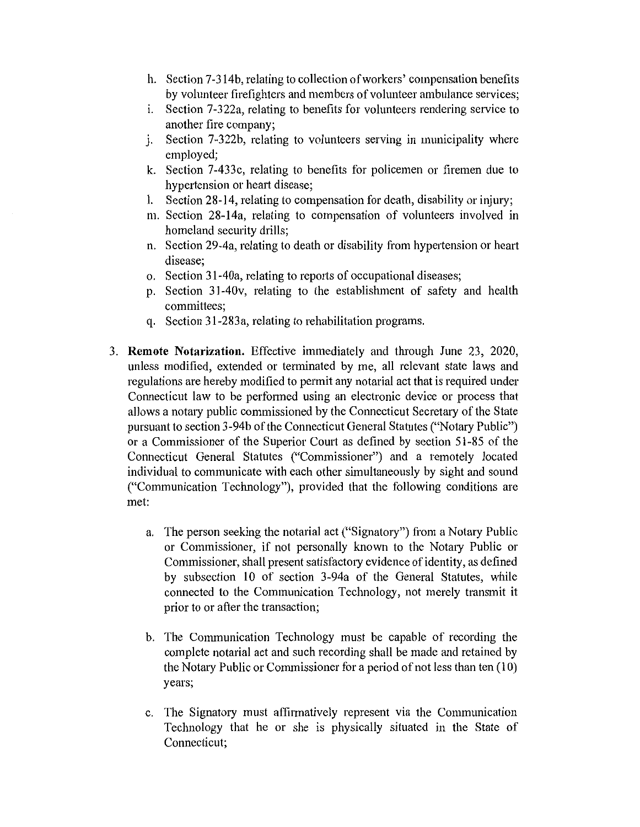- h. Section 7-314b, relating to collection of workers' compensation benefits by volunteer firefighters and members of volunteer ambulance services;
- i. Section 7-322a, relating to benefits for volunteers rendering service to another fire company;
- i. Section 7-322b, relating to volunteers serving in municipality where employed;
- k. Section 7-433c, relating to benefits for policemen or firemen due to hypertension or heart disease;
- l. Section 28-14, relating to compensation for death, disability or injury;
- m. Section 28-14a, relating to compensation of volunteers involved in homeland security drills;
- n. Section 29-4a, relating to death or disability from hypertension or heart disease;
- o. Section 31-40a, relating to reports of occupational diseases;
- p. Section 31-40v, relating to the establishment of safety and health committees;
- q. Section 31-283a, relating to rehabilitation programs.
- 3. **Remote Notarization.** Effective immediately and through June 23, 2020, unless modified, extended or terminated by me, all relevant state laws and regulations are hereby modified to permit any notarial act that is required under Connecticut law to be performed using an electronic device or process that allows a notary public commissioned by the Connecticut Secretary of the State pursuant to section 3-94b of the Connecticut General Statutes ("Notary Public") or a Commissioner of the Superior Coutt as defined by section 51-85 of the Connecticut General Statutes ("Commissioner") and a remotely located individual to communicate with each other simultaneously by sight and sound ("Communication Technology"), provided that the following conditions are met:
	- a. The person seeking the notarial act ("Signatory") from a Notary Public or Commissioner, if not personally known to the Notary Public or Commissioner, shall present satisfactory evidence of identity, as defined by subsection 10 of section 3-94a of the General Statutes, while connected to the Communication Technology, not merely transmit it prior to or after the transaction;
	- b. The Communication Technology must be capable of recording the complete notarial act and such recording shall be made and retained by the Notary Public or Commissioner for a period of not less than ten (10) years;
	- c. The Signatory must affirmatively represent via the Communication Technology that he or she is physically situated in the State of Connecticut;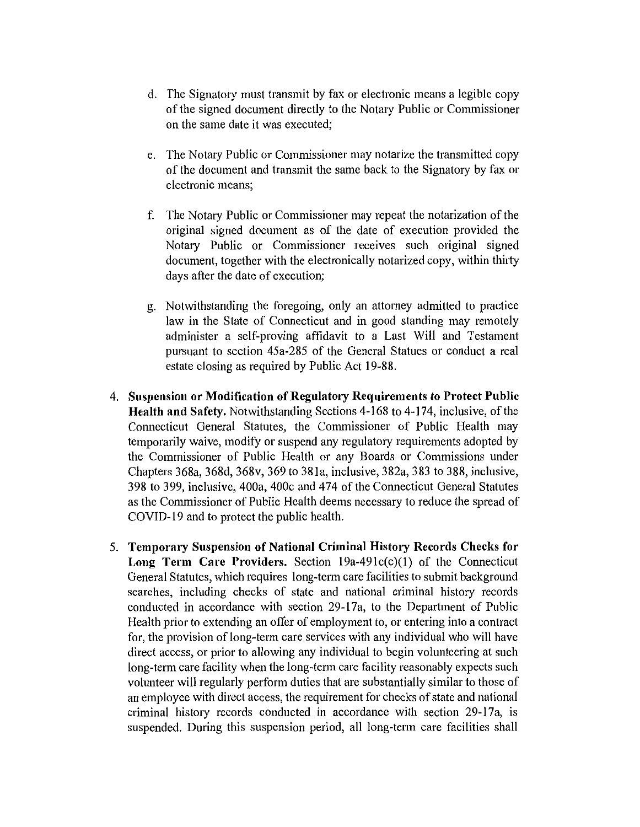- d. The Signatory must transmit by fax or electronic means a legible copy of the signed document directly to the Notary Public or Commissioner on the same date it was executed;
- e. The Notary Public or Commissioner may notarize the transmitted copy of the document and transmit the same back to the Signatory by fax or electronic means;
- f. The Notary Public or Commissioner may repeat the notarization of the original signed document as of the date of execution provided the Notary Public or Commissioner receives such original signed document, together with the electronically notarized copy, within thirty days after the date of execution;
- g. Notwithstanding the foregoing, only an attorney admitted to practice law in the State of Connecticut and in good standing may remotely administer a self-proving affidavit to a Last Will and Testament pursuant to section 45a-285 of the General Statues or conduct a real estate closing as required by Public Act 19-88.
- 4. **Suspension or Modification of Regulatory Requirements to Protect Public Health and Safety.** Notwithstanding Sections 4-168 to 4-174, inclusive, of the Connecticut General Statutes, the Commissioner of Public Health may temporarily waive, modify or suspend any regulatory requirements adopted by the Commissioner of Public Health or any Boards or Commissions under Chapters 368a, 368d, 368v, 369 to 381a, inclusive, 382a, 383 to 388, inclusive, 398 to 399, inclusive, 400a, 400c and 474 of the Connecticut General Statutes as the Commissioner of Public Health deems necessary to reduce the spread of COVID-19 and to protect the public health.
- 5. **Temporary Suspension of National Criminal History Records Checks for Long Term Care Providers.** Section 19a-49lc(c)(l) of the Connecticut General Statutes, which requires long-term care facilities to submit background searches, including checks of state and national criminal history records conducted in accordance with section 29-17a, to the Department of Public Health prior to extending an offer of employment to, or entering into a contract for, the provision of long-term care services with any individual who will have direct access, or prior to allowing any individual to begin volunteering at such long-term care facility when the long-term care facility reasonably expects such volunteer will regularly perform duties that are substantially similar to those of an employee with direct access, the requirement for checks of state and national criminal history records conducted in accordance with section 29-17a, is suspended. During this suspension period, all long-term care facilities shall